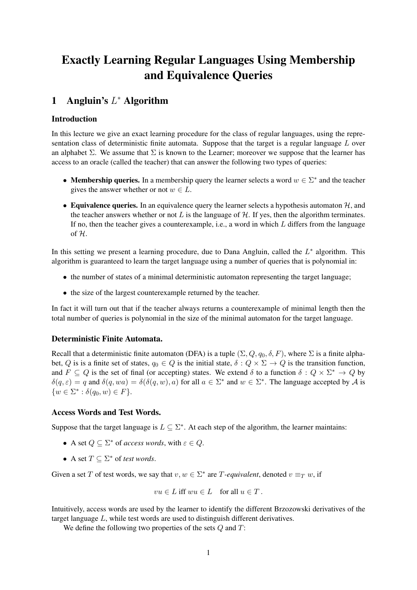# Exactly Learning Regular Languages Using Membership and Equivalence Queries

## 1 Angluin's  $L^*$  Algorithm

#### Introduction

In this lecture we give an exact learning procedure for the class of regular languages, using the representation class of deterministic finite automata. Suppose that the target is a regular language  $L$  over an alphabet  $\Sigma$ . We assume that  $\Sigma$  is known to the Learner; moreover we suppose that the learner has access to an oracle (called the teacher) that can answer the following two types of queries:

- Membership queries. In a membership query the learner selects a word  $w \in \Sigma^*$  and the teacher gives the answer whether or not  $w \in L$ .
- Equivalence queries. In an equivalence query the learner selects a hypothesis automaton  $H$ , and the teacher answers whether or not  $L$  is the language of  $H$ . If yes, then the algorithm terminates. If no, then the teacher gives a counterexample, i.e., a word in which  $L$  differs from the language of H.

In this setting we present a learning procedure, due to Dana Angluin, called the  $L^*$  algorithm. This algorithm is guaranteed to learn the target language using a number of queries that is polynomial in:

- the number of states of a minimal deterministic automaton representing the target language;
- the size of the largest counterexample returned by the teacher.

In fact it will turn out that if the teacher always returns a counterexample of minimal length then the total number of queries is polynomial in the size of the minimal automaton for the target language.

#### Deterministic Finite Automata.

Recall that a deterministic finite automaton (DFA) is a tuple  $(\Sigma, Q, q_0, \delta, F)$ , where  $\Sigma$  is a finite alphabet, Q is is a finite set of states,  $q_0 \in Q$  is the initial state,  $\delta: Q \times \Sigma \to Q$  is the transition function, and  $F \subseteq Q$  is the set of final (or accepting) states. We extend  $\delta$  to a function  $\delta: Q \times \Sigma^* \to Q$  by  $\delta(q,\varepsilon) = q$  and  $\delta(q, wa) = \delta(\delta(q, w), a)$  for all  $a \in \Sigma^*$  and  $w \in \Sigma^*$ . The language accepted by A is  $\{w \in \Sigma^* : \delta(q_0, w) \in F\}.$ 

#### Access Words and Test Words.

Suppose that the target language is  $L \subseteq \Sigma^*$ . At each step of the algorithm, the learner maintains:

- A set  $Q \subseteq \Sigma^*$  of *access words*, with  $\varepsilon \in Q$ .
- A set  $T \subseteq \Sigma^*$  of *test words*.

Given a set T of test words, we say that  $v, w \in \Sigma^*$  are T-equivalent, denoted  $v \equiv_T w$ , if

$$
vu\in L\text{ iff }wu\in L\quad\text{for all }u\in T\,.
$$

Intuitively, access words are used by the learner to identify the different Brzozowski derivatives of the target language L, while test words are used to distinguish different derivatives.

We define the following two properties of the sets  $Q$  and  $T$ :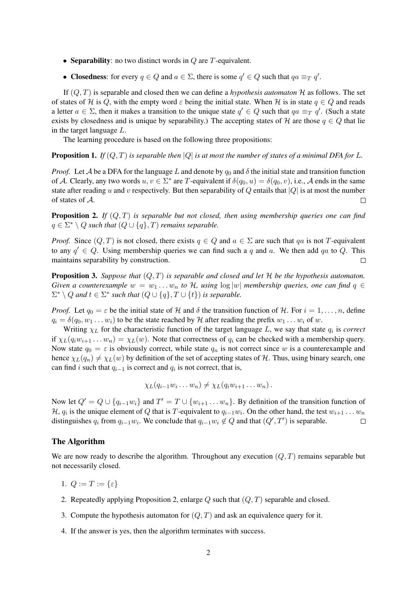- Separability: no two distinct words in  $Q$  are  $T$ -equivalent.
- Closedness: for every  $q \in Q$  and  $a \in \Sigma$ , there is some  $q' \in Q$  such that  $qa \equiv_T q'$ .

If  $(Q, T)$  is separable and closed then we can define a *hypothesis automaton*  $H$  as follows. The set of states of H is Q, with the empty word  $\varepsilon$  being the initial state. When H is in state  $q \in Q$  and reads a letter  $a \in \Sigma$ , then it makes a transition to the unique state  $q' \in Q$  such that  $qa \equiv_T q'$ . (Such a state exists by closedness and is unique by separability.) The accepting states of H are those  $q \in Q$  that lie in the target language L.

The learning procedure is based on the following three propositions:

**Proposition 1.** *If*  $(Q, T)$  *is separable then*  $|Q|$  *is at most the number of states of a minimal DFA for L.* 

*Proof.* Let A be a DFA for the language L and denote by  $q_0$  and  $\delta$  the initial state and transition function of A. Clearly, any two words  $u, v \in \Sigma^*$  are T-equivalent if  $\delta(q_0, u) = \delta(q_0, v)$ , i.e., A ends in the same state after reading u and v respectively. But then separability of Q entails that  $|Q|$  is at most the number of states of A. П

Proposition 2. *If* (Q, T) *is separable but not closed, then using membership queries one can find*  $q \in \Sigma^* \setminus Q$  such that  $(Q \cup \{q\}, T)$  remains separable.

*Proof.* Since  $(Q, T)$  is not closed, there exists  $q \in Q$  and  $a \in \Sigma$  are such that qa is not T-equivalent to any  $q' \in Q$ . Using membership queries we can find such a q and a. We then add qa to Q. This maintains separability by construction.  $\Box$ 

Proposition 3. *Suppose that* (Q, T) *is separable and closed and let* H *be the hypothesis automaton. Given a counterexample*  $w = w_1 \ldots w_n$  *to*  $H$ *, using*  $\log |w|$  *membership queries, one can find*  $q \in$  $\Sigma^* \setminus Q$  and  $t \in \Sigma^*$  such that  $(Q \cup \{q\}, T \cup \{t\})$  is separable.

*Proof.* Let  $q_0 = \varepsilon$  be the initial state of H and  $\delta$  the transition function of H. For  $i = 1, \ldots, n$ , define  $q_i = \delta(q_0, w_1 \dots w_i)$  to be the state reached by H after reading the prefix  $w_1 \dots w_i$  of w.

Writing  $\chi_L$  for the characteristic function of the target language L, we say that state  $q_i$  is *correct* if  $\chi_L(q_iw_{i+1} \dots w_n) = \chi_L(w)$ . Note that correctness of  $q_i$  can be checked with a membership query. Now state  $q_0 = \varepsilon$  is obviously correct, while state  $q_n$  is not correct since w is a counterexample and hence  $\chi_L(q_n) \neq \chi_L(w)$  by definition of the set of accepting states of H. Thus, using binary search, one can find *i* such that  $q_{i-1}$  is correct and  $q_i$  is not correct, that is,

$$
\chi_L(q_{i-1}w_i\ldots w_n)\neq \chi_L(q_iw_{i+1}\ldots w_n).
$$

Now let  $Q' = Q \cup \{q_{i-1}w_i\}$  and  $T' = T \cup \{w_{i+1} \dots w_n\}$ . By definition of the transition function of H,  $q_i$  is the unique element of Q that is T-equivalent to  $q_{i-1}w_i$ . On the other hand, the test  $w_{i+1} \ldots w_n$ distinguishes  $q_i$  from  $q_{i-1}w_i$ . We conclude that  $q_{i-1}w_i \notin Q$  and that  $(Q', T')$  is separable.  $\Box$ 

#### The Algorithm

We are now ready to describe the algorithm. Throughout any execution  $(Q, T)$  remains separable but not necessarily closed.

- 1.  $Q := T := \{\varepsilon\}$
- 2. Repeatedly applying Proposition 2, enlarge  $Q$  such that  $(Q, T)$  separable and closed.
- 3. Compute the hypothesis automaton for  $(Q, T)$  and ask an equivalence query for it.
- 4. If the answer is yes, then the algorithm terminates with success.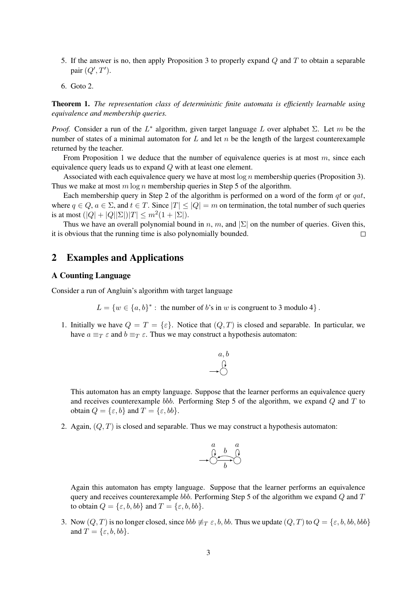- 5. If the answer is no, then apply Proposition 3 to properly expand  $\overline{O}$  and  $\overline{T}$  to obtain a separable pair  $(Q', T')$ .
- 6. Goto 2.

Theorem 1. *The representation class of deterministic finite automata is efficiently learnable using equivalence and membership queries.*

*Proof.* Consider a run of the  $L^*$  algorithm, given target language L over alphabet  $\Sigma$ . Let m be the number of states of a minimal automaton for  $L$  and let  $n$  be the length of the largest counterexample returned by the teacher.

From Proposition 1 we deduce that the number of equivalence queries is at most  $m$ , since each equivalence query leads us to expand Q with at least one element.

Associated with each equivalence query we have at most  $\log n$  membership queries (Proposition 3). Thus we make at most  $m \log n$  membership queries in Step 5 of the algorithm.

Each membership query in Step 2 of the algorithm is performed on a word of the form  $qt$  or  $qat$ , where  $q \in Q$ ,  $a \in \Sigma$ , and  $t \in T$ . Since  $|T| \leq |Q| = m$  on termination, the total number of such queries is at most  $(|Q| + |Q||\Sigma|)|T| \le m^2(1 + |\Sigma|)$ .

Thus we have an overall polynomial bound in n, m, and  $|\Sigma|$  on the number of queries. Given this, it is obvious that the running time is also polynomially bounded.  $\Box$ 

### 2 Examples and Applications

#### A Counting Language

Consider a run of Angluin's algorithm with target language

 $L = \{w \in \{a, b\}^* : \text{ the number of } b\text{'s in } w \text{ is congruent to } 3 \text{ modulo } 4\}.$ 

1. Initially we have  $Q = T = {\varepsilon}$ . Notice that  $(Q, T)$  is closed and separable. In particular, we have  $a \equiv_T \varepsilon$  and  $b \equiv_T \varepsilon$ . Thus we may construct a hypothesis automaton:



This automaton has an empty language. Suppose that the learner performs an equivalence query and receives counterexample bbb. Performing Step 5 of the algorithm, we expand  $Q$  and  $T$  to obtain  $Q = \{\varepsilon, b\}$  and  $T = \{\varepsilon, bb\}.$ 

2. Again,  $(Q, T)$  is closed and separable. Thus we may construct a hypothesis automaton:



Again this automaton has empty language. Suppose that the learner performs an equivalence query and receives counterexample bbb. Performing Step 5 of the algorithm we expand  $Q$  and  $T$ to obtain  $Q = \{\varepsilon, b, bb\}$  and  $T = \{\varepsilon, b, bb\}.$ 

3. Now  $(Q, T)$  is no longer closed, since  $bbb \neq_T \varepsilon$ , b, bb. Thus we update  $(Q, T)$  to  $Q = \{\varepsilon, b, bb, bbb\}$ and  $T = \{\varepsilon, b, bb\}.$